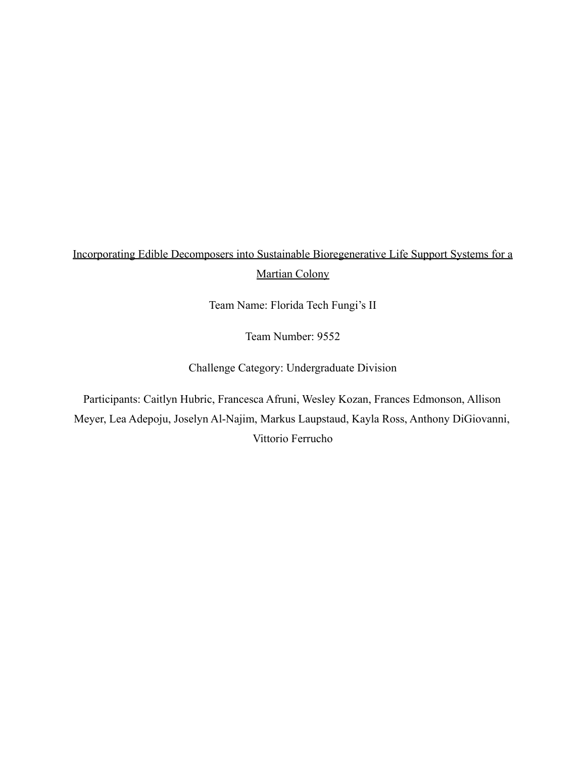# Incorporating Edible Decomposers into Sustainable Bioregenerative Life Support Systems for a Martian Colony

Team Name: Florida Tech Fungi's II

Team Number: 9552

Challenge Category: Undergraduate Division

Participants: Caitlyn Hubric, Francesca Afruni, Wesley Kozan, Frances Edmonson, Allison Meyer, Lea Adepoju, Joselyn Al-Najim, Markus Laupstaud, Kayla Ross, Anthony DiGiovanni, Vittorio Ferrucho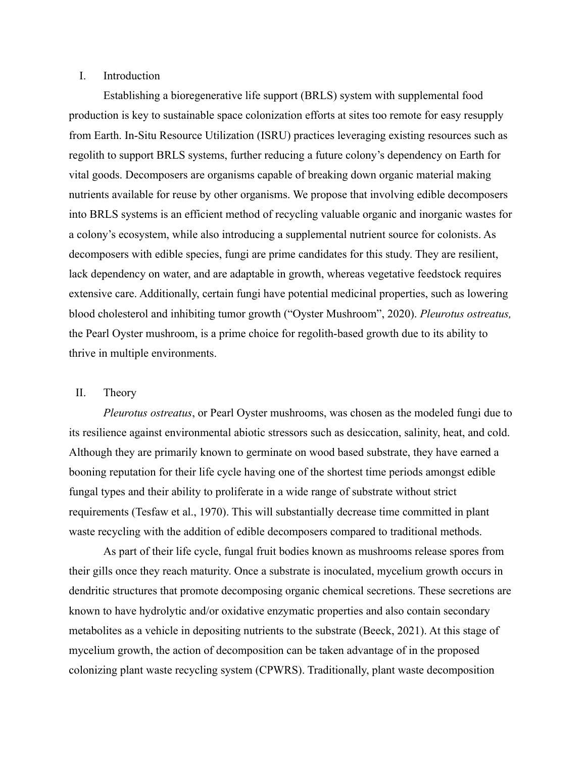#### I. Introduction

Establishing a bioregenerative life support (BRLS) system with supplemental food production is key to sustainable space colonization efforts at sites too remote for easy resupply from Earth. In-Situ Resource Utilization (ISRU) practices leveraging existing resources such as regolith to support BRLS systems, further reducing a future colony's dependency on Earth for vital goods. Decomposers are organisms capable of breaking down organic material making nutrients available for reuse by other organisms. We propose that involving edible decomposers into BRLS systems is an efficient method of recycling valuable organic and inorganic wastes for a colony's ecosystem, while also introducing a supplemental nutrient source for colonists. As decomposers with edible species, fungi are prime candidates for this study. They are resilient, lack dependency on water, and are adaptable in growth, whereas vegetative feedstock requires extensive care. Additionally, certain fungi have potential medicinal properties, such as lowering blood cholesterol and inhibiting tumor growth ("Oyster Mushroom", 2020). *Pleurotus ostreatus,* the Pearl Oyster mushroom, is a prime choice for regolith-based growth due to its ability to thrive in multiple environments.

#### II. Theory

*Pleurotus ostreatus*, or Pearl Oyster mushrooms, was chosen as the modeled fungi due to its resilience against environmental abiotic stressors such as desiccation, salinity, heat, and cold. Although they are primarily known to germinate on wood based substrate, they have earned a booning reputation for their life cycle having one of the shortest time periods amongst edible fungal types and their ability to proliferate in a wide range of substrate without strict requirements (Tesfaw et al., 1970). This will substantially decrease time committed in plant waste recycling with the addition of edible decomposers compared to traditional methods.

As part of their life cycle, fungal fruit bodies known as mushrooms release spores from their gills once they reach maturity. Once a substrate is inoculated, mycelium growth occurs in dendritic structures that promote decomposing organic chemical secretions. These secretions are known to have hydrolytic and/or oxidative enzymatic properties and also contain secondary metabolites as a vehicle in depositing nutrients to the substrate (Beeck, 2021). At this stage of mycelium growth, the action of decomposition can be taken advantage of in the proposed colonizing plant waste recycling system (CPWRS). Traditionally, plant waste decomposition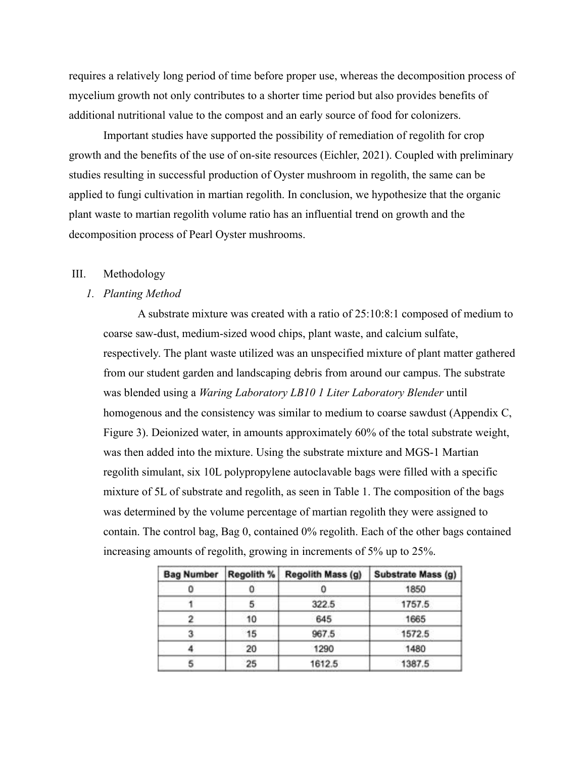requires a relatively long period of time before proper use, whereas the decomposition process of mycelium growth not only contributes to a shorter time period but also provides benefits of additional nutritional value to the compost and an early source of food for colonizers.

Important studies have supported the possibility of remediation of regolith for crop growth and the benefits of the use of on-site resources (Eichler, 2021). Coupled with preliminary studies resulting in successful production of Oyster mushroom in regolith, the same can be applied to fungi cultivation in martian regolith. In conclusion, we hypothesize that the organic plant waste to martian regolith volume ratio has an influential trend on growth and the decomposition process of Pearl Oyster mushrooms.

#### III. Methodology

#### *1. Planting Method*

A substrate mixture was created with a ratio of 25:10:8:1 composed of medium to coarse saw-dust, medium-sized wood chips, plant waste, and calcium sulfate, respectively. The plant waste utilized was an unspecified mixture of plant matter gathered from our student garden and landscaping debris from around our campus. The substrate was blended using a *Waring Laboratory LB10 1 Liter Laboratory Blender* until homogenous and the consistency was similar to medium to coarse sawdust (Appendix C, Figure 3). Deionized water, in amounts approximately 60% of the total substrate weight, was then added into the mixture. Using the substrate mixture and MGS-1 Martian regolith simulant, six 10L polypropylene autoclavable bags were filled with a specific mixture of 5L of substrate and regolith, as seen in Table 1. The composition of the bags was determined by the volume percentage of martian regolith they were assigned to contain. The control bag, Bag 0, contained 0% regolith. Each of the other bags contained increasing amounts of regolith, growing in increments of 5% up to 25%.

| <b>Bag Number</b> | Regolith % | Regolith Mass (g) | Substrate Mass (g) |
|-------------------|------------|-------------------|--------------------|
| 0                 |            |                   | 1850               |
|                   | 5          | 322.5             | 1757.5             |
|                   | 10         | 645               | 1665               |
| з                 | 15         | 967.5             | 1572.5             |
|                   | 20         | 1290              | 1480               |
| ъ                 | 25         | 1612.5            | 1387.5             |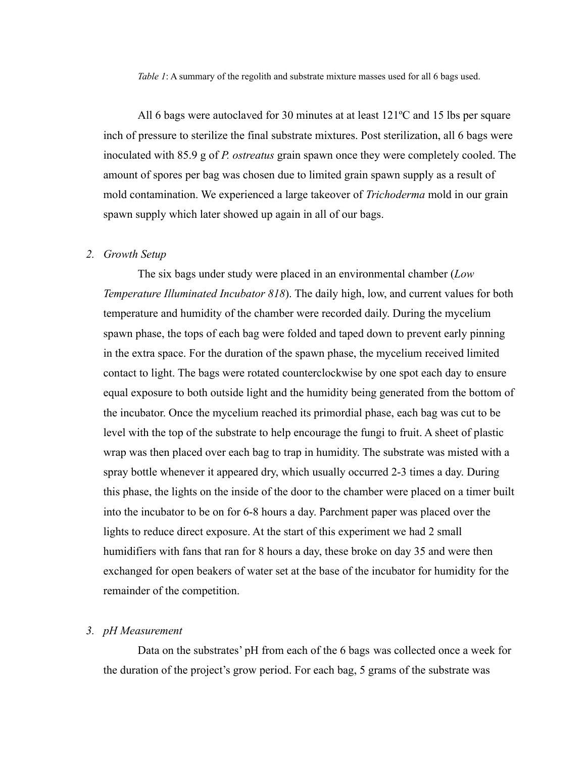*Table 1*: A summary of the regolith and substrate mixture masses used for all 6 bags used.

All 6 bags were autoclaved for 30 minutes at at least 121ºC and 15 lbs per square inch of pressure to sterilize the final substrate mixtures. Post sterilization, all 6 bags were inoculated with 85.9 g of *P. ostreatus* grain spawn once they were completely cooled. The amount of spores per bag was chosen due to limited grain spawn supply as a result of mold contamination. We experienced a large takeover of *Trichoderma* mold in our grain spawn supply which later showed up again in all of our bags.

#### *2. Growth Setup*

The six bags under study were placed in an environmental chamber (*Low Temperature Illuminated Incubator 818*). The daily high, low, and current values for both temperature and humidity of the chamber were recorded daily. During the mycelium spawn phase, the tops of each bag were folded and taped down to prevent early pinning in the extra space. For the duration of the spawn phase, the mycelium received limited contact to light. The bags were rotated counterclockwise by one spot each day to ensure equal exposure to both outside light and the humidity being generated from the bottom of the incubator. Once the mycelium reached its primordial phase, each bag was cut to be level with the top of the substrate to help encourage the fungi to fruit. A sheet of plastic wrap was then placed over each bag to trap in humidity. The substrate was misted with a spray bottle whenever it appeared dry, which usually occurred 2-3 times a day. During this phase, the lights on the inside of the door to the chamber were placed on a timer built into the incubator to be on for 6-8 hours a day. Parchment paper was placed over the lights to reduce direct exposure. At the start of this experiment we had 2 small humidifiers with fans that ran for 8 hours a day, these broke on day 35 and were then exchanged for open beakers of water set at the base of the incubator for humidity for the remainder of the competition.

#### *3. pH Measurement*

Data on the substrates' pH from each of the 6 bags was collected once a week for the duration of the project's grow period. For each bag, 5 grams of the substrate was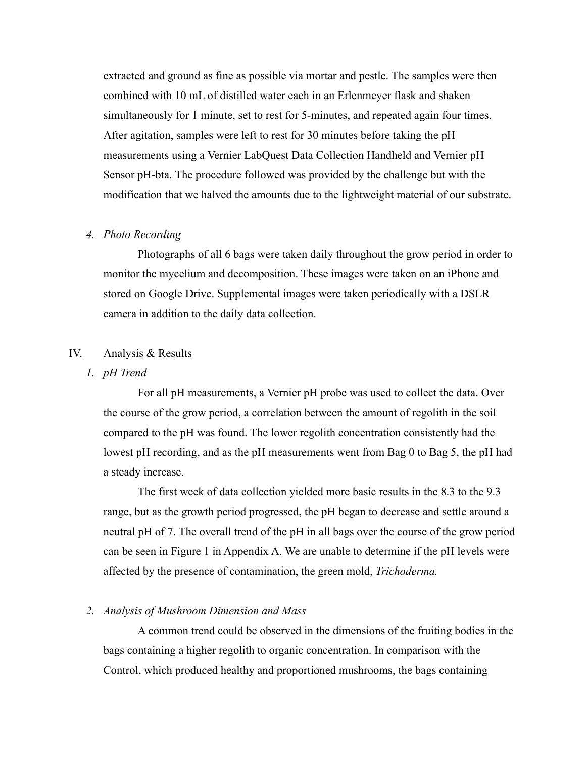extracted and ground as fine as possible via mortar and pestle. The samples were then combined with 10 mL of distilled water each in an Erlenmeyer flask and shaken simultaneously for 1 minute, set to rest for 5-minutes, and repeated again four times. After agitation, samples were left to rest for 30 minutes before taking the pH measurements using a Vernier LabQuest Data Collection Handheld and Vernier pH Sensor pH-bta. The procedure followed was provided by the challenge but with the modification that we halved the amounts due to the lightweight material of our substrate.

#### *4. Photo Recording*

Photographs of all 6 bags were taken daily throughout the grow period in order to monitor the mycelium and decomposition. These images were taken on an iPhone and stored on Google Drive. Supplemental images were taken periodically with a DSLR camera in addition to the daily data collection.

#### IV. Analysis & Results

#### *1. pH Trend*

For all pH measurements, a Vernier pH probe was used to collect the data. Over the course of the grow period, a correlation between the amount of regolith in the soil compared to the pH was found. The lower regolith concentration consistently had the lowest pH recording, and as the pH measurements went from Bag 0 to Bag 5, the pH had a steady increase.

The first week of data collection yielded more basic results in the 8.3 to the 9.3 range, but as the growth period progressed, the pH began to decrease and settle around a neutral pH of 7. The overall trend of the pH in all bags over the course of the grow period can be seen in Figure 1 in Appendix A. We are unable to determine if the pH levels were affected by the presence of contamination, the green mold, *Trichoderma.*

#### *2. Analysis of Mushroom Dimension and Mass*

A common trend could be observed in the dimensions of the fruiting bodies in the bags containing a higher regolith to organic concentration. In comparison with the Control, which produced healthy and proportioned mushrooms, the bags containing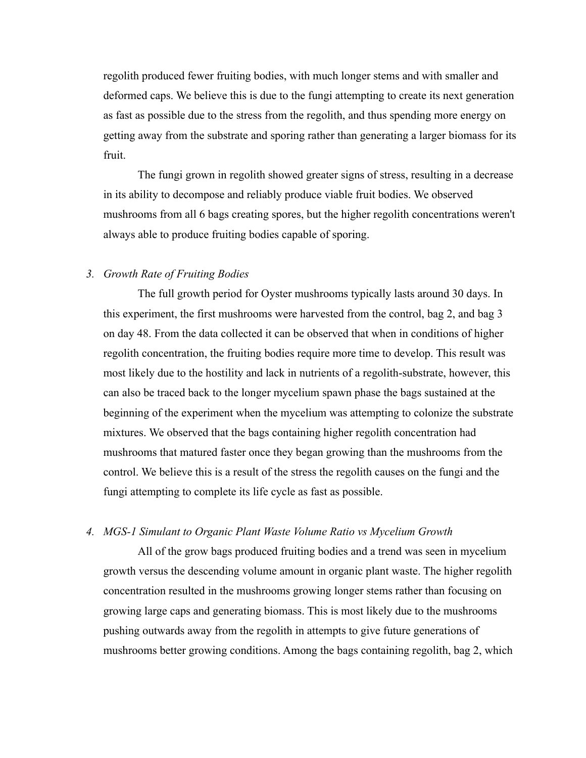regolith produced fewer fruiting bodies, with much longer stems and with smaller and deformed caps. We believe this is due to the fungi attempting to create its next generation as fast as possible due to the stress from the regolith, and thus spending more energy on getting away from the substrate and sporing rather than generating a larger biomass for its fruit.

The fungi grown in regolith showed greater signs of stress, resulting in a decrease in its ability to decompose and reliably produce viable fruit bodies. We observed mushrooms from all 6 bags creating spores, but the higher regolith concentrations weren't always able to produce fruiting bodies capable of sporing.

#### *3. Growth Rate of Fruiting Bodies*

The full growth period for Oyster mushrooms typically lasts around 30 days. In this experiment, the first mushrooms were harvested from the control, bag 2, and bag 3 on day 48. From the data collected it can be observed that when in conditions of higher regolith concentration, the fruiting bodies require more time to develop. This result was most likely due to the hostility and lack in nutrients of a regolith-substrate, however, this can also be traced back to the longer mycelium spawn phase the bags sustained at the beginning of the experiment when the mycelium was attempting to colonize the substrate mixtures. We observed that the bags containing higher regolith concentration had mushrooms that matured faster once they began growing than the mushrooms from the control. We believe this is a result of the stress the regolith causes on the fungi and the fungi attempting to complete its life cycle as fast as possible.

#### *4. MGS-1 Simulant to Organic Plant Waste Volume Ratio vs Mycelium Growth*

All of the grow bags produced fruiting bodies and a trend was seen in mycelium growth versus the descending volume amount in organic plant waste. The higher regolith concentration resulted in the mushrooms growing longer stems rather than focusing on growing large caps and generating biomass. This is most likely due to the mushrooms pushing outwards away from the regolith in attempts to give future generations of mushrooms better growing conditions. Among the bags containing regolith, bag 2, which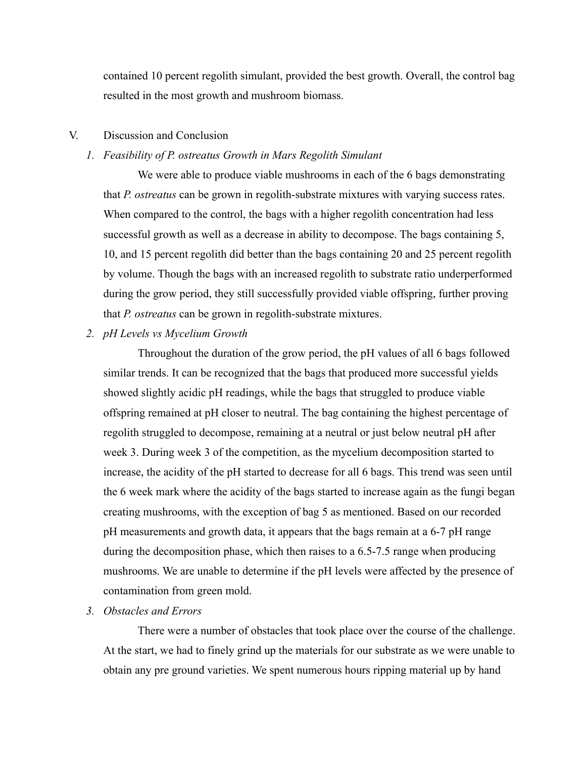contained 10 percent regolith simulant, provided the best growth. Overall, the control bag resulted in the most growth and mushroom biomass.

#### V. Discussion and Conclusion

#### *1. Feasibility of P. ostreatus Growth in Mars Regolith Simulant*

We were able to produce viable mushrooms in each of the 6 bags demonstrating that *P. ostreatus* can be grown in regolith-substrate mixtures with varying success rates. When compared to the control, the bags with a higher regolith concentration had less successful growth as well as a decrease in ability to decompose. The bags containing 5, 10, and 15 percent regolith did better than the bags containing 20 and 25 percent regolith by volume. Though the bags with an increased regolith to substrate ratio underperformed during the grow period, they still successfully provided viable offspring, further proving that *P. ostreatus* can be grown in regolith-substrate mixtures.

#### *2. pH Levels vs Mycelium Growth*

Throughout the duration of the grow period, the pH values of all 6 bags followed similar trends. It can be recognized that the bags that produced more successful yields showed slightly acidic pH readings, while the bags that struggled to produce viable offspring remained at pH closer to neutral. The bag containing the highest percentage of regolith struggled to decompose, remaining at a neutral or just below neutral pH after week 3. During week 3 of the competition, as the mycelium decomposition started to increase, the acidity of the pH started to decrease for all 6 bags. This trend was seen until the 6 week mark where the acidity of the bags started to increase again as the fungi began creating mushrooms, with the exception of bag 5 as mentioned. Based on our recorded pH measurements and growth data, it appears that the bags remain at a 6-7 pH range during the decomposition phase, which then raises to a 6.5-7.5 range when producing mushrooms. We are unable to determine if the pH levels were affected by the presence of contamination from green mold.

#### *3. Obstacles and Errors*

There were a number of obstacles that took place over the course of the challenge. At the start, we had to finely grind up the materials for our substrate as we were unable to obtain any pre ground varieties. We spent numerous hours ripping material up by hand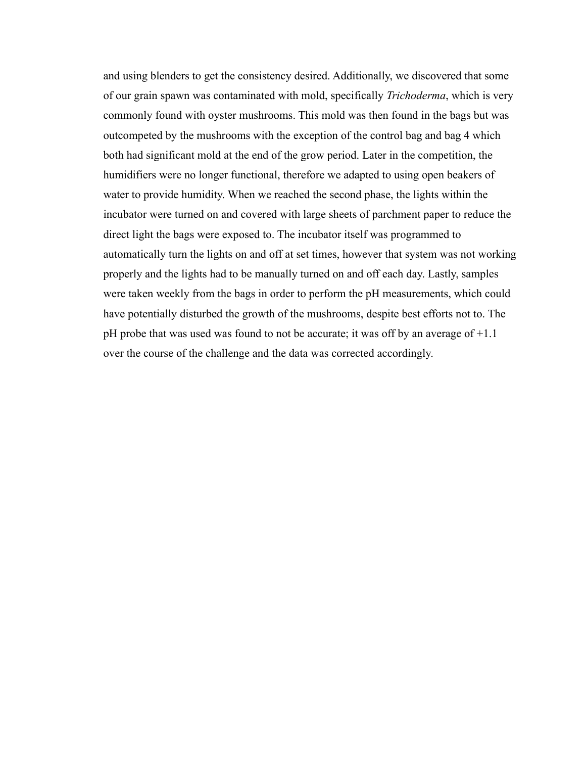and using blenders to get the consistency desired. Additionally, we discovered that some of our grain spawn was contaminated with mold, specifically *Trichoderma*, which is very commonly found with oyster mushrooms. This mold was then found in the bags but was outcompeted by the mushrooms with the exception of the control bag and bag 4 which both had significant mold at the end of the grow period. Later in the competition, the humidifiers were no longer functional, therefore we adapted to using open beakers of water to provide humidity. When we reached the second phase, the lights within the incubator were turned on and covered with large sheets of parchment paper to reduce the direct light the bags were exposed to. The incubator itself was programmed to automatically turn the lights on and off at set times, however that system was not working properly and the lights had to be manually turned on and off each day. Lastly, samples were taken weekly from the bags in order to perform the pH measurements, which could have potentially disturbed the growth of the mushrooms, despite best efforts not to. The pH probe that was used was found to not be accurate; it was off by an average of +1.1 over the course of the challenge and the data was corrected accordingly.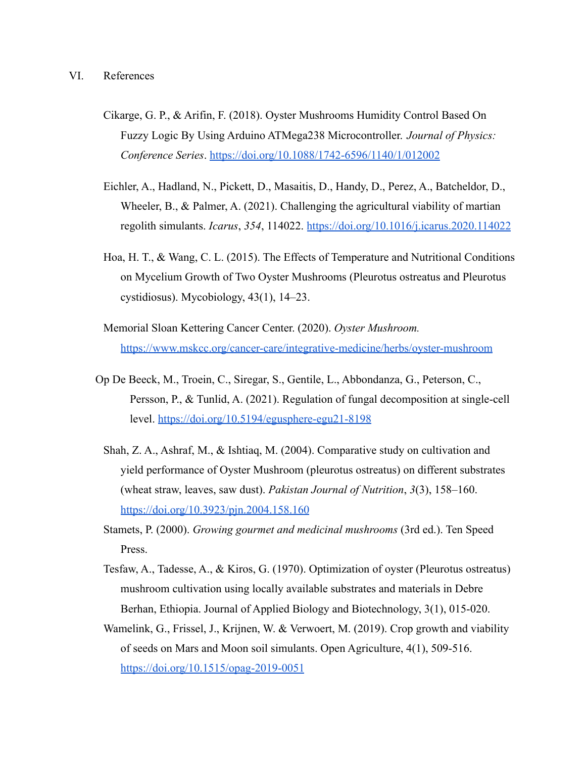- Cikarge, G. P., & Arifin, F. (2018). Oyster Mushrooms Humidity Control Based On Fuzzy Logic By Using Arduino ATMega238 Microcontroller. *Journal of Physics: Conference Series*. <https://doi.org/10.1088/1742-6596/1140/1/012002>
- Eichler, A., Hadland, N., Pickett, D., Masaitis, D., Handy, D., Perez, A., Batcheldor, D., Wheeler, B., & Palmer, A. (2021). Challenging the agricultural viability of martian regolith simulants. *Icarus*, *354*, 114022. <https://doi.org/10.1016/j.icarus.2020.114022>
- Hoa, H. T., & Wang, C. L. (2015). The Effects of Temperature and Nutritional Conditions on Mycelium Growth of Two Oyster Mushrooms (Pleurotus ostreatus and Pleurotus cystidiosus). Mycobiology, 43(1), 14–23.
- Memorial Sloan Kettering Cancer Center. (2020). *Oyster Mushroom.* <https://www.mskcc.org/cancer-care/integrative-medicine/herbs/oyster-mushroom>
- Op De Beeck, M., Troein, C., Siregar, S., Gentile, L., Abbondanza, G., Peterson, C., Persson, P., & Tunlid, A. (2021). Regulation of fungal decomposition at single-cell level. <https://doi.org/10.5194/egusphere-egu21-8198>
	- Shah, Z. A., Ashraf, M., & Ishtiaq, M. (2004). Comparative study on cultivation and yield performance of Oyster Mushroom (pleurotus ostreatus) on different substrates (wheat straw, leaves, saw dust). *Pakistan Journal of Nutrition*, *3*(3), 158–160. <https://doi.org/10.3923/pjn.2004.158.160>
	- Stamets, P. (2000). *Growing gourmet and medicinal mushrooms* (3rd ed.). Ten Speed Press.
	- Tesfaw, A., Tadesse, A., & Kiros, G. (1970). Optimization of oyster (Pleurotus ostreatus) mushroom cultivation using locally available substrates and materials in Debre Berhan, Ethiopia. Journal of Applied Biology and Biotechnology, 3(1), 015-020.
	- Wamelink, G., Frissel, J., Krijnen, W. & Verwoert, M. (2019). Crop growth and viability of seeds on Mars and Moon soil simulants. Open Agriculture, 4(1), 509-516. <https://doi.org/10.1515/opag-2019-0051>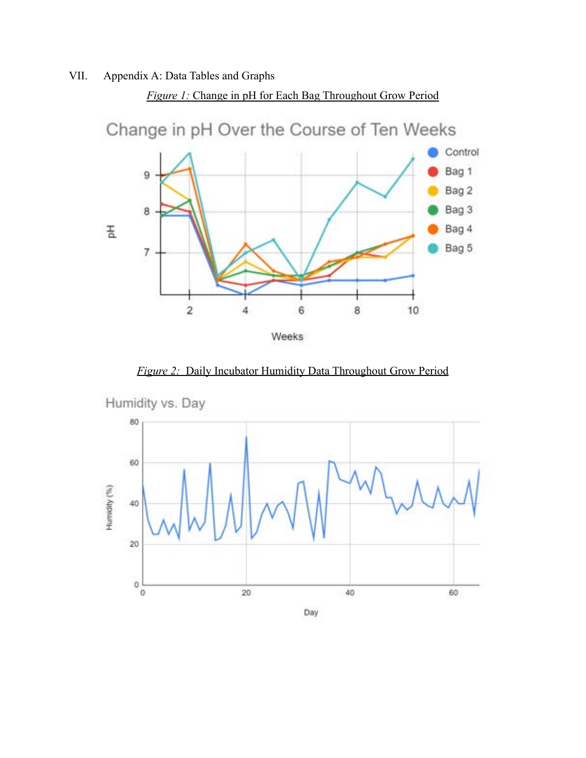### VII. Appendix A: Data Tables and Graphs



*Figure 1:* Change in pH for Each Bag Throughout Grow Period

*Figure 2:* Daily Incubator Humidity Data Throughout Grow Period



Humidity vs. Day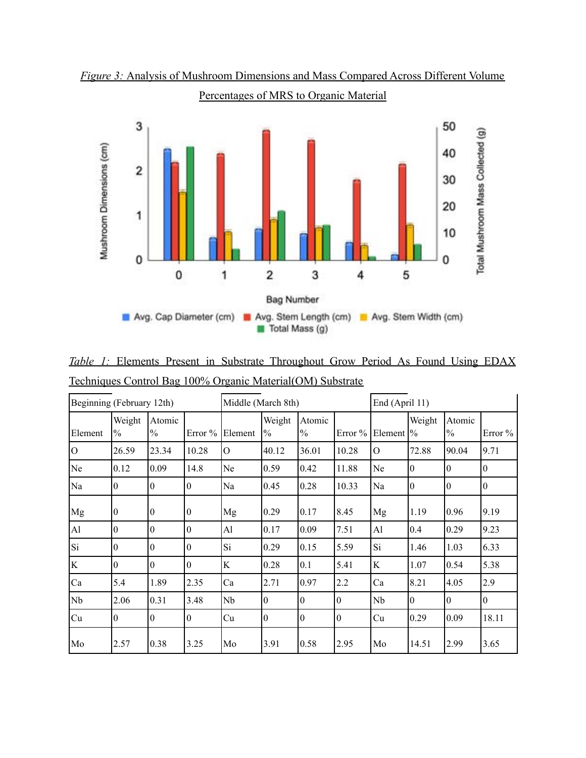

*Figure 3:* Analysis of Mushroom Dimensions and Mass Compared Across Different Volume Percentages of MRS to Organic Material

*Table 1:* Elements Present in Substrate Throughout Grow Period As Found Using EDAX Techniques Control Bag 100% Organic Material(OM) Substrate

| Beginning (February 12th) |                  |                 |                  | Middle (March 8th) |                |                         |                | End (April 11) |                |                         |                |
|---------------------------|------------------|-----------------|------------------|--------------------|----------------|-------------------------|----------------|----------------|----------------|-------------------------|----------------|
| Element                   | Weight<br>$\%$   | Atomic<br>$\%$  | Error $\%$       | Element            | Weight<br>$\%$ | Atomic<br>$\frac{0}{0}$ | Error $%$      | Element        | Weight<br>$\%$ | Atomic<br>$\frac{0}{0}$ | Error $\%$     |
| $\overline{O}$            | 26.59            | 23.34           | 10.28            | $\Omega$           | 40.12          | 36.01                   | 10.28          | $\Omega$       | 72.88          | 90.04                   | 9.71           |
| Ne                        | 0.12             | 0.09            | 14.8             | Ne                 | 0.59           | 0.42                    | 11.88          | Ne             | 0              | $\theta$                | $\overline{0}$ |
| Na                        | $\overline{0}$   | $\overline{0}$  | $\mathbf{0}$     | Na                 | 0.45           | 0.28                    | 10.33          | Na             | $\overline{0}$ | $\theta$                | $\overline{0}$ |
| Mg                        | $\overline{0}$   | 10              | $\mathbf{0}$     | Mg                 | 0.29           | 0.17                    | 8.45           | Mg             | 1.19           | 0.96                    | 9.19           |
| A <sub>1</sub>            | $\boldsymbol{0}$ | $\vert 0 \vert$ | $\boldsymbol{0}$ | Al                 | 0.17           | 0.09                    | 7.51           | Al             | 0.4            | 0.29                    | 9.23           |
| Si                        | $\overline{0}$   | 10              | $\mathbf{0}$     | Si                 | 0.29           | 0.15                    | 5.59           | Si             | 1.46           | 1.03                    | 6.33           |
| K                         | $\boldsymbol{0}$ | $\vert 0 \vert$ | $\boldsymbol{0}$ | K                  | 0.28           | 0.1                     | 5.41           | K              | 1.07           | 0.54                    | 5.38           |
| Ca                        | 5.4              | 1.89            | 2.35             | Ca                 | 2.71           | 0.97                    | 2.2            | Ca             | 8.21           | 4.05                    | 2.9            |
| Nb                        | 2.06             | 0.31            | 3.48             | Nb                 | 10             | $\overline{0}$          | $\overline{0}$ | Nb             | 10             | $\theta$                | $\overline{0}$ |
| Cu                        | $\overline{0}$   | 10              | $\overline{0}$   | Cu                 | 10             | $\overline{0}$          | $\overline{0}$ | Cu             | 0.29           | 0.09                    | 18.11          |
| Mo                        | 2.57             | 0.38            | 3.25             | Mo                 | 3.91           | 0.58                    | 2.95           | Mo             | 14.51          | 2.99                    | 3.65           |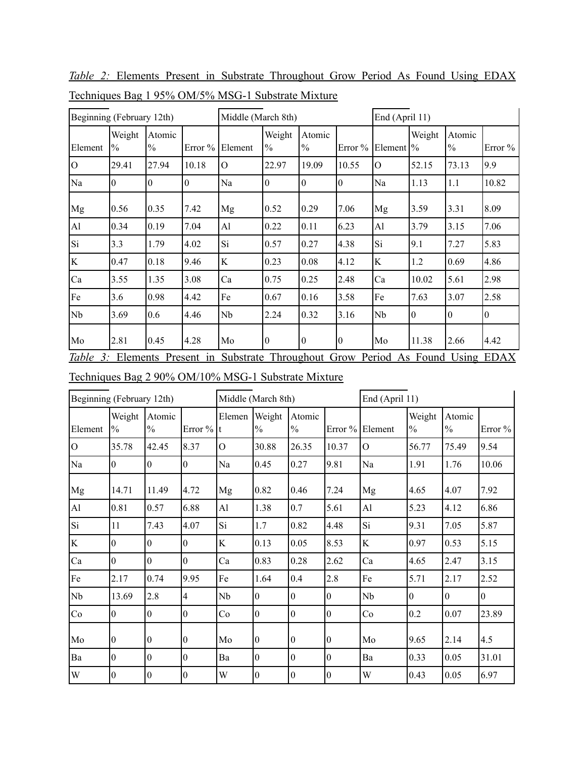| Beginning (February 12th) |                |                         |                | Middle (March 8th) | End (April 11) |                         |                |                       |        |                         |         |
|---------------------------|----------------|-------------------------|----------------|--------------------|----------------|-------------------------|----------------|-----------------------|--------|-------------------------|---------|
| Element                   | Weight<br>$\%$ | Atomic<br>$\frac{0}{0}$ | Error %        | Element            | Weight<br>$\%$ | Atomic<br>$\frac{0}{0}$ | Error %        | Element $\frac{9}{6}$ | Weight | Atomic<br>$\frac{0}{0}$ | Error % |
| $\overline{O}$            | 29.41          | 27.94                   | 10.18          | $\Omega$           | 22.97          | 19.09                   | 10.55          | $\Omega$              | 52.15  | 73.13                   | 9.9     |
| Na                        | 10             | $\theta$                | $\overline{0}$ | Na                 | 0              | $\theta$                | $\theta$       | Na                    | 1.13   | 1.1                     | 10.82   |
| Mg                        | 0.56           | 0.35                    | 7.42           | Mg                 | 0.52           | 0.29                    | 7.06           | Mg                    | 3.59   | 3.31                    | 8.09    |
| Al                        | 0.34           | 0.19                    | 7.04           | Al                 | 0.22           | 0.11                    | 6.23           | Al                    | 3.79   | 3.15                    | 7.06    |
| Si                        | 3.3            | 1.79                    | 4.02           | Si                 | 0.57           | 0.27                    | 4.38           | Si                    | 9.1    | 7.27                    | 5.83    |
| K                         | 0.47           | 0.18                    | 9.46           | K                  | 0.23           | 0.08                    | 4.12           | K                     | 1.2    | 0.69                    | 4.86    |
| Ca                        | 3.55           | 1.35                    | 3.08           | Ca                 | 0.75           | 0.25                    | 2.48           | Ca                    | 10.02  | 5.61                    | 2.98    |
| Fe                        | 3.6            | 0.98                    | 4.42           | Fe                 | 0.67           | 0.16                    | 3.58           | Fe                    | 7.63   | 3.07                    | 2.58    |
| Nb                        | 3.69           | 0.6                     | 4.46           | Nb                 | 2.24           | 0.32                    | 3.16           | Nb                    | 10     | $\overline{0}$          | 10      |
| Mo                        | 2.81           | 0.45                    | 4.28           | Mo                 | 0              | 0                       | $\overline{0}$ | Mo                    | 11.38  | 2.66                    | 4.42    |

*Table 2:* Elements Present in Substrate Throughout Grow Period As Found Using EDAX Techniques Bag 1 95% OM/5% MSG-1 Substrate Mixture

*Table 3:* Elements Present in Substrate Throughout Grow Period As Found Using EDAX

Techniques Bag 2 90% OM/10% MSG-1 Substrate Mixture

| Beginning (February 12th) |                         |                         |                 | Middle (March 8th) |                         | End (April 11)          |                 |                |                         |                         |            |
|---------------------------|-------------------------|-------------------------|-----------------|--------------------|-------------------------|-------------------------|-----------------|----------------|-------------------------|-------------------------|------------|
| Element                   | Weight<br>$\frac{0}{0}$ | Atomic<br>$\frac{0}{0}$ | Error $\%$ t    | Elemen             | Weight<br>$\frac{0}{0}$ | Atomic<br>$\frac{0}{0}$ | Error %         | Element        | Weight<br>$\frac{0}{0}$ | Atomic<br>$\frac{0}{0}$ | Error $\%$ |
| $\overline{O}$            | 35.78                   | 42.45                   | 8.37            | $\overline{O}$     | 30.88                   | 26.35                   | 10.37           | $\overline{O}$ | 56.77                   | 75.49                   | 9.54       |
| Na                        | $\vert 0 \vert$         | $\theta$                | $\overline{0}$  | Na                 | 0.45                    | 0.27                    | 9.81            | Na             | 1.91                    | 1.76                    | 10.06      |
| Mg                        | 14.71                   | 11.49                   | 4.72            | Mg                 | 0.82                    | 0.46                    | 7.24            | Mg             | 4.65                    | 4.07                    | 7.92       |
| A                         | 0.81                    | 0.57                    | 6.88            | Al                 | 1.38                    | 0.7                     | 5.61            | Al             | 5.23                    | 4.12                    | 6.86       |
| Si                        | 11                      | 7.43                    | 4.07            | Si                 | 1.7                     | 0.82                    | 4.48            | Si             | 9.31                    | 7.05                    | 5.87       |
| K                         | $\vert 0 \vert$         | $\theta$                | $\overline{0}$  | K                  | 0.13                    | 0.05                    | 8.53            | K              | 0.97                    | 0.53                    | 5.15       |
| Ca                        | 0                       | $\overline{0}$          | $\vert$ 0       | Ca                 | 0.83                    | 0.28                    | 2.62            | Ca             | 4.65                    | 2.47                    | 3.15       |
| Fe                        | 2.17                    | 0.74                    | 9.95            | Fe                 | 1.64                    | 0.4                     | 2.8             | Fe             | 5.71                    | 2.17                    | 2.52       |
| Nb                        | 13.69                   | 2.8                     | $\overline{4}$  | Nb                 | 10                      | $\overline{0}$          | 10              | Nb             | $\overline{0}$          | $\vert$ 0               | $\theta$   |
| Co                        | $\vert 0 \vert$         | $\overline{0}$          | $\overline{0}$  | Co                 | $\overline{0}$          | $\overline{0}$          | $\overline{0}$  | Co             | 0.2                     | 0.07                    | 23.89      |
| Mo                        | 10                      | $\theta$                | $\overline{0}$  | Mo                 | 10                      | 10                      | 10              | Mo             | 9.65                    | 2.14                    | 4.5        |
| Ba                        | $\vert 0 \vert$         | $\boldsymbol{0}$        | $\overline{0}$  | Ba                 | $\vert 0 \vert$         | $\overline{0}$          | $\overline{0}$  | Ba             | 0.33                    | 0.05                    | 31.01      |
| W                         | $\vert 0 \vert$         | $\boldsymbol{0}$        | $\vert 0 \vert$ | W                  | $\overline{0}$          | $\overline{0}$          | $\vert 0 \vert$ | W              | 0.43                    | 0.05                    | 6.97       |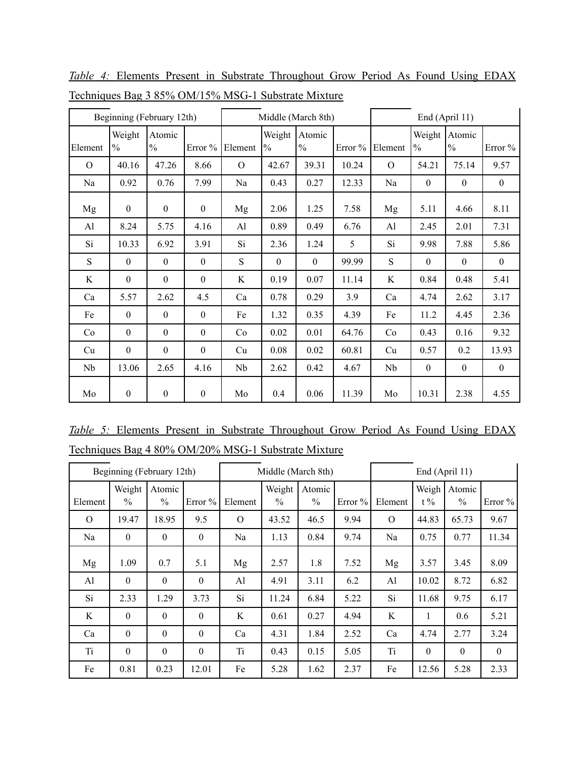|          |                         | Beginning (February 12th) |                  | Middle (March 8th) |                         |                         |            |               |                         | End (April 11)          |                  |
|----------|-------------------------|---------------------------|------------------|--------------------|-------------------------|-------------------------|------------|---------------|-------------------------|-------------------------|------------------|
| Element  | Weight<br>$\frac{0}{0}$ | Atomic<br>$\frac{0}{0}$   | Error %          | Element            | Weight<br>$\frac{0}{0}$ | Atomic<br>$\frac{0}{0}$ | Error $\%$ | Element       | Weight<br>$\frac{0}{0}$ | Atomic<br>$\frac{0}{0}$ | Error $\%$       |
| $\Omega$ | 40.16                   | 47.26                     | 8.66             | $\Omega$           | 42.67                   | 39.31                   | 10.24      | $\mathcal{O}$ | 54.21                   | 75.14                   | 9.57             |
| Na       | 0.92                    | 0.76                      | 7.99             | Na                 | 0.43                    | 0.27                    | 12.33      | Na            | $\mathbf{0}$            | $\mathbf{0}$            | $\boldsymbol{0}$ |
| Mg       | $\mathbf{0}$            | $\mathbf{0}$              | $\boldsymbol{0}$ | Mg                 | 2.06                    | 1.25                    | 7.58       | Mg            | 5.11                    | 4.66                    | 8.11             |
| Al       | 8.24                    | 5.75                      | 4.16             | Al                 | 0.89                    | 0.49                    | 6.76       | Al            | 2.45                    | 2.01                    | 7.31             |
| Si       | 10.33                   | 6.92                      | 3.91             | Si                 | 2.36                    | 1.24                    | 5          | Si            | 9.98                    | 7.88                    | 5.86             |
| S        | $\mathbf{0}$            | $\boldsymbol{0}$          | $\mathbf{0}$     | S                  | $\theta$                | $\theta$                | 99.99      | ${\bf S}$     | $\mathbf{0}$            | $\boldsymbol{0}$        | $\boldsymbol{0}$ |
| K        | $\boldsymbol{0}$        | $\mathbf{0}$              | $\boldsymbol{0}$ | K                  | 0.19                    | 0.07                    | 11.14      | K             | 0.84                    | 0.48                    | 5.41             |
| Ca       | 5.57                    | 2.62                      | 4.5              | Ca                 | 0.78                    | 0.29                    | 3.9        | Ca            | 4.74                    | 2.62                    | 3.17             |
| Fe       | $\theta$                | $\theta$                  | $\mathbf{0}$     | Fe                 | 1.32                    | 0.35                    | 4.39       | Fe            | 11.2                    | 4.45                    | 2.36             |
| Co       | $\boldsymbol{0}$        | $\mathbf{0}$              | $\boldsymbol{0}$ | Co                 | 0.02                    | 0.01                    | 64.76      | Co            | 0.43                    | 0.16                    | 9.32             |
| Cu       | $\boldsymbol{0}$        | $\mathbf{0}$              | $\boldsymbol{0}$ | Cu                 | 0.08                    | 0.02                    | 60.81      | Cu            | 0.57                    | 0.2                     | 13.93            |
| Nb       | 13.06                   | 2.65                      | 4.16             | Nb                 | 2.62                    | 0.42                    | 4.67       | Nb            | $\boldsymbol{0}$        | $\boldsymbol{0}$        | $\boldsymbol{0}$ |
| Mo       | $\boldsymbol{0}$        | $\mathbf{0}$              | $\boldsymbol{0}$ | Mo                 | 0.4                     | 0.06                    | 11.39      | Mo            | 10.31                   | 2.38                    | 4.55             |

*Table 4:* Elements Present in Substrate Throughout Grow Period As Found Using EDAX Techniques Bag 3 85% OM/15% MSG-1 Substrate Mixture

|  |  | <i>Table 5:</i> Elements Present in Substrate Throughout Grow Period As Found Using EDAX |  |  |  |
|--|--|------------------------------------------------------------------------------------------|--|--|--|
|  |  | Techniques Bag 4 80% OM/20% MSG-1 Substrate Mixture                                      |  |  |  |

|          | Beginning (February 12th) |               |                  | Middle (March 8th) |        |               |           |          |          | End (April 11)   |                  |
|----------|---------------------------|---------------|------------------|--------------------|--------|---------------|-----------|----------|----------|------------------|------------------|
|          | Weight                    | Atomic        |                  |                    | Weight | Atomic        |           |          | Weigh    | Atomic           |                  |
| Element  | $\%$                      | $\frac{0}{0}$ | Error $\%$       | Element            | $\%$   | $\frac{0}{0}$ | Error $%$ | Element  | $t\%$    | $\frac{0}{0}$    | Error $\%$       |
| $\Omega$ | 19.47                     | 18.95         | 9.5              | $\Omega$           | 43.52  | 46.5          | 9.94      | $\Omega$ | 44.83    | 65.73            | 9.67             |
| Na       | $\theta$                  | $\theta$      | $\Omega$         | Na                 | 1.13   | 0.84          | 9.74      | Na       | 0.75     | 0.77             | 11.34            |
| Mg       | 1.09                      | 0.7           | 5.1              | Mg                 | 2.57   | 1.8           | 7.52      | Mg       | 3.57     | 3.45             | 8.09             |
| Al       | $\theta$                  | $\theta$      | $\boldsymbol{0}$ | Al                 | 4.91   | 3.11          | 6.2       | AI       | 10.02    | 8.72             | 6.82             |
| Si       | 2.33                      | 1.29          | 3.73             | Si                 | 11.24  | 6.84          | 5.22      | Si       | 11.68    | 9.75             | 6.17             |
| K        | $\theta$                  | $\theta$      | $\theta$         | K                  | 0.61   | 0.27          | 4.94      | K        | 1        | 0.6              | 5.21             |
| Ca       | $\theta$                  | $\theta$      | $\theta$         | Ca                 | 4.31   | 1.84          | 2.52      | Ca       | 4.74     | 2.77             | 3.24             |
| Ti       | $\theta$                  | $\theta$      | $\theta$         | Ti                 | 0.43   | 0.15          | 5.05      | Ti       | $\theta$ | $\boldsymbol{0}$ | $\boldsymbol{0}$ |
| Fe       | 0.81                      | 0.23          | 12.01            | Fe                 | 5.28   | 1.62          | 2.37      | Fe       | 12.56    | 5.28             | 2.33             |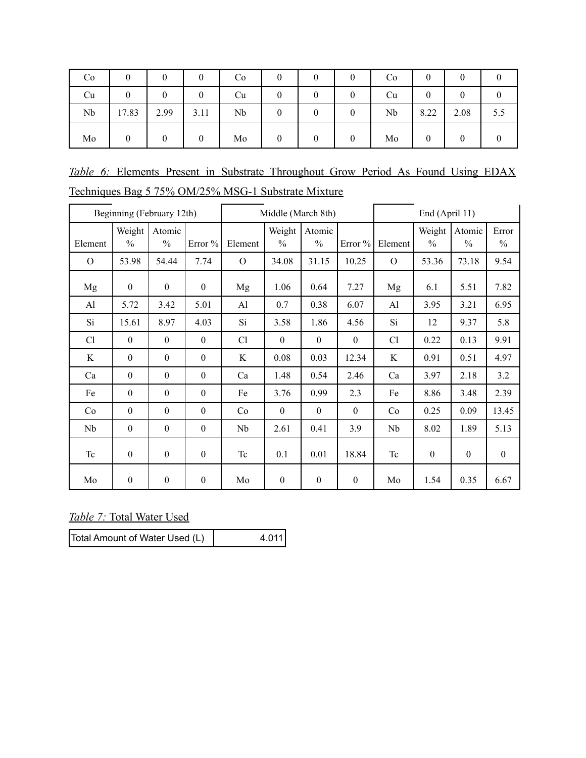| Co |       |          |      | Co |   |  | Co | 0    |          |     |
|----|-------|----------|------|----|---|--|----|------|----------|-----|
| Cu |       |          | 0    | Cu |   |  | Cu | 0    |          |     |
| Nb | 17.83 | 2.99     | 3.11 | Nb | 0 |  | Nb | 8.22 | 2.08     | 5.5 |
| Mo |       | $\theta$ | 0    | Mo |   |  | Mo | 0    | $\theta$ |     |

|  |  | <i>Table 6:</i> Elements Present in Substrate Throughout Grow Period As Found Using EDAX |  |  |  |
|--|--|------------------------------------------------------------------------------------------|--|--|--|
|  |  | Techniques Bag 5 75% OM/25% MSG-1 Substrate Mixture                                      |  |  |  |

|              | Beginning (February 12th) |                  |                  | Middle (March 8th) |                  |                  |                  |              | End (April 11)   |                  |                  |  |
|--------------|---------------------------|------------------|------------------|--------------------|------------------|------------------|------------------|--------------|------------------|------------------|------------------|--|
|              | Weight                    | Atomic           |                  |                    | Weight           | Atomic           |                  |              | Weight           | Atomic           | Error            |  |
| Element      | $\frac{0}{0}$             | $\frac{0}{0}$    | Error %          | Element            | $\frac{0}{0}$    | $\frac{0}{0}$    | Error %          | Element      | $\frac{0}{0}$    | $\frac{0}{0}$    | $\frac{0}{0}$    |  |
| $\mathbf{O}$ | 53.98                     | 54.44            | 7.74             | $\Omega$           | 34.08            | 31.15            | 10.25            | $\mathbf{O}$ | 53.36            | 73.18            | 9.54             |  |
| Mg           | $\mathbf{0}$              | $\boldsymbol{0}$ | $\boldsymbol{0}$ | Mg                 | 1.06             | 0.64             | 7.27             | Mg           | 6.1              | 5.51             | 7.82             |  |
| Al           | 5.72                      | 3.42             | 5.01             | Al                 | 0.7              | 0.38             | 6.07             | Al           | 3.95             | 3.21             | 6.95             |  |
| Si           | 15.61                     | 8.97             | 4.03             | Si                 | 3.58             | 1.86             | 4.56             | Si           | 12               | 9.37             | 5.8              |  |
| Cl           | $\mathbf{0}$              | $\mathbf{0}$     | $\mathbf{0}$     | Cl                 | $\boldsymbol{0}$ | $\boldsymbol{0}$ | $\boldsymbol{0}$ | Cl           | 0.22             | 0.13             | 9.91             |  |
| K            | $\boldsymbol{0}$          | $\theta$         | $\mathbf{0}$     | K                  | 0.08             | 0.03             | 12.34            | K            | 0.91             | 0.51             | 4.97             |  |
| Ca           | $\boldsymbol{0}$          | $\mathbf{0}$     | $\mathbf{0}$     | Ca                 | 1.48             | 0.54             | 2.46             | Ca           | 3.97             | 2.18             | 3.2              |  |
| Fe           | $\boldsymbol{0}$          | $\boldsymbol{0}$ | $\boldsymbol{0}$ | Fe                 | 3.76             | 0.99             | 2.3              | Fe           | 8.86             | 3.48             | 2.39             |  |
| Co           | $\boldsymbol{0}$          | $\boldsymbol{0}$ | $\boldsymbol{0}$ | Co                 | $\boldsymbol{0}$ | $\boldsymbol{0}$ | $\boldsymbol{0}$ | Co           | 0.25             | 0.09             | 13.45            |  |
| Nb           | $\mathbf{0}$              | $\mathbf{0}$     | $\mathbf{0}$     | Nb                 | 2.61             | 0.41             | 3.9              | Nb           | 8.02             | 1.89             | 5.13             |  |
| Tc           | $\boldsymbol{0}$          | $\boldsymbol{0}$ | $\boldsymbol{0}$ | Tc                 | 0.1              | 0.01             | 18.84            | Tc           | $\boldsymbol{0}$ | $\boldsymbol{0}$ | $\boldsymbol{0}$ |  |
| Mo           | $\boldsymbol{0}$          | $\boldsymbol{0}$ | $\boldsymbol{0}$ | Mo                 | $\boldsymbol{0}$ | $\boldsymbol{0}$ | $\boldsymbol{0}$ | Mo           | 1.54             | 0.35             | 6.67             |  |

*Table 7:* Total Water Used

| Total Amount of Water Used (L)<br>4.011 |
|-----------------------------------------|
|-----------------------------------------|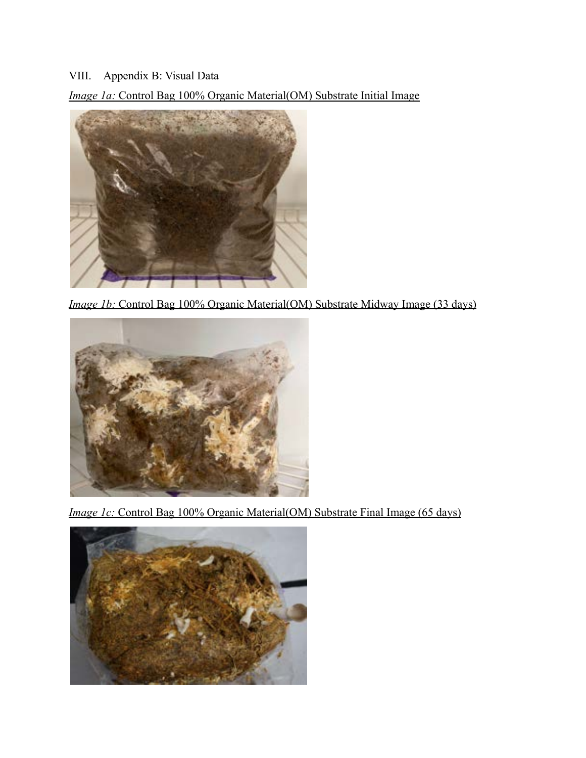## VIII. Appendix B: Visual Data

*Image 1a:* Control Bag 100% Organic Material(OM) Substrate Initial Image



*Image 1b:* Control Bag 100% Organic Material(OM) Substrate Midway Image (33 days)



*Image 1c:* Control Bag 100% Organic Material(OM) Substrate Final Image (65 days)

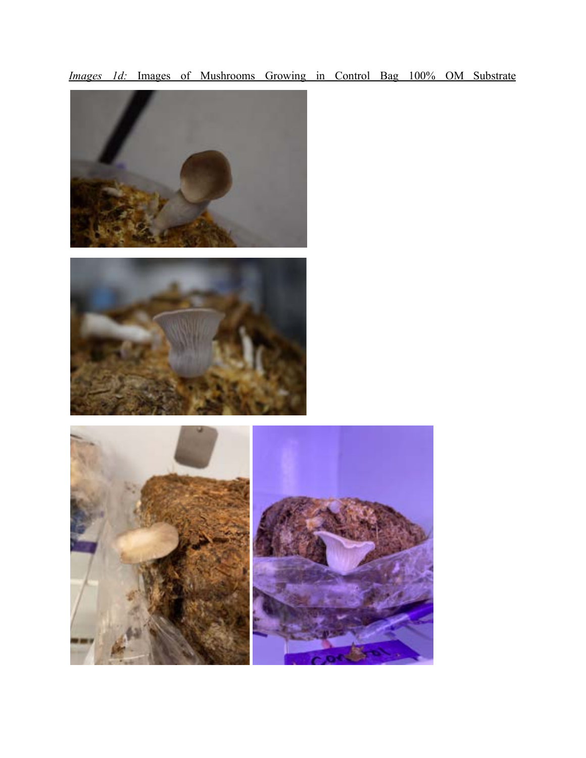*Images 1d:* Images of Mushrooms Growing in Control Bag 100% OM Substrate





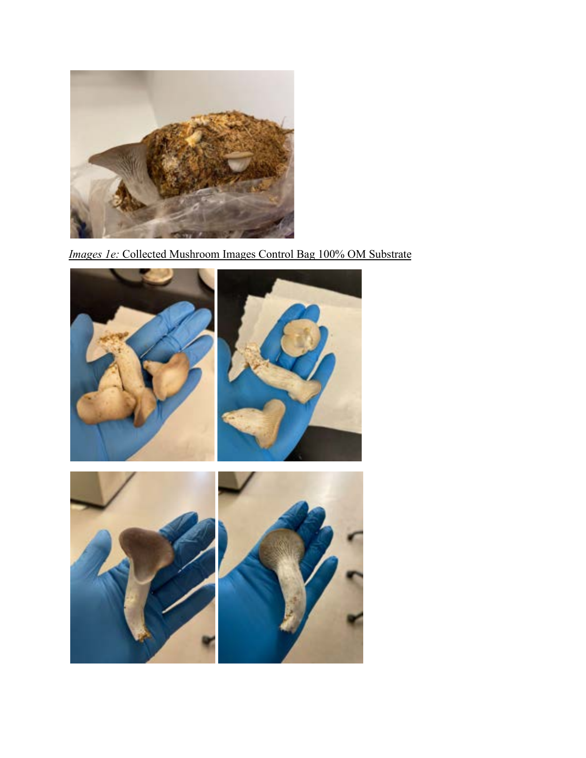

*Images 1e:* Collected Mushroom Images Control Bag 100% OM Substrate

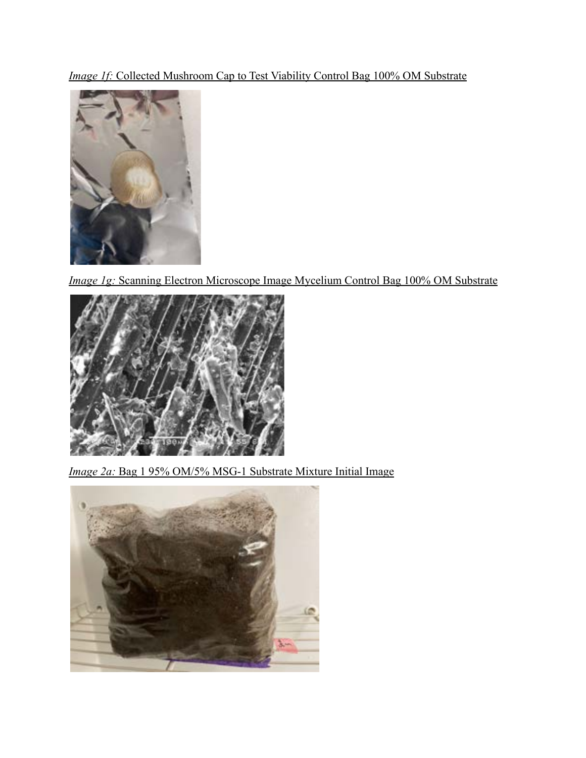*Image 1f:* Collected Mushroom Cap to Test Viability Control Bag 100% OM Substrate



*Image 1g:* Scanning Electron Microscope Image Mycelium Control Bag 100% OM Substrate



*Image 2a:* Bag 1 95% OM/5% MSG-1 Substrate Mixture Initial Image

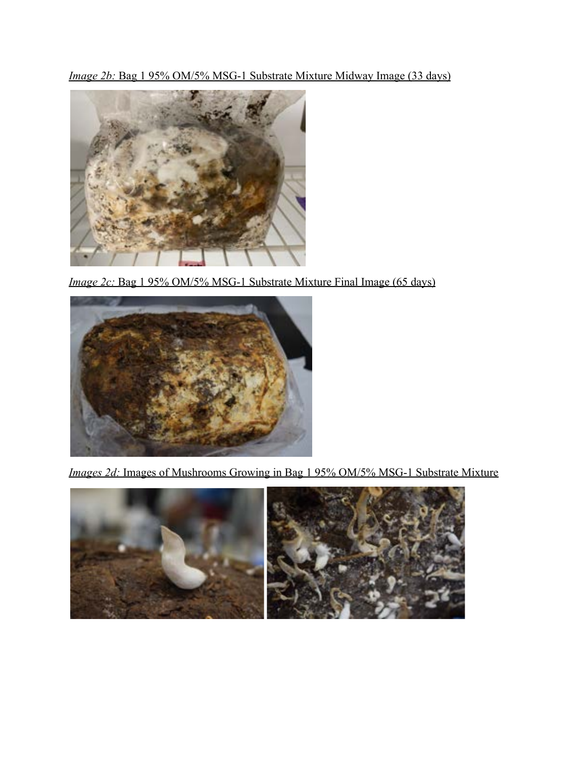*Image 2b:* Bag 1 95% OM/5% MSG-1 Substrate Mixture Midway Image (33 days)



*Image 2c:* Bag 1 95% OM/5% MSG-1 Substrate Mixture Final Image (65 days)



*Images 2d:* Images of Mushrooms Growing in Bag 1 95% OM/5% MSG-1 Substrate Mixture

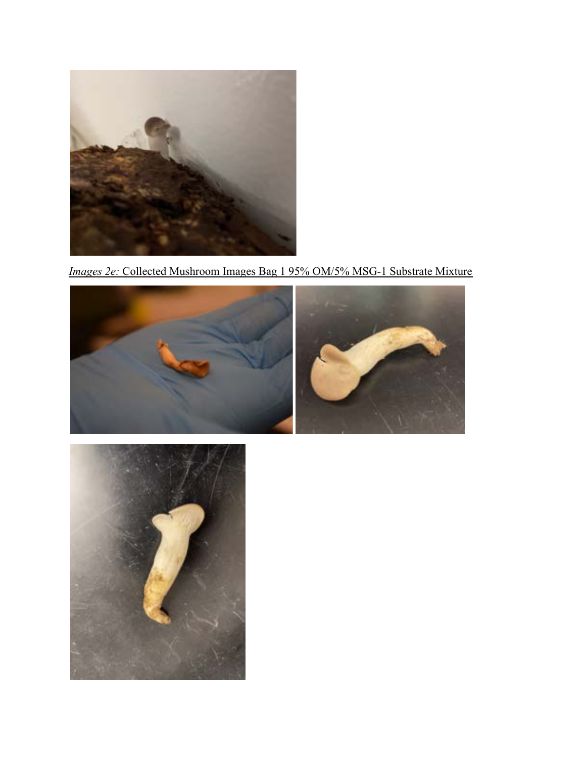

*Images 2e:* Collected Mushroom Images Bag 1 95% OM/5% MSG-1 Substrate Mixture



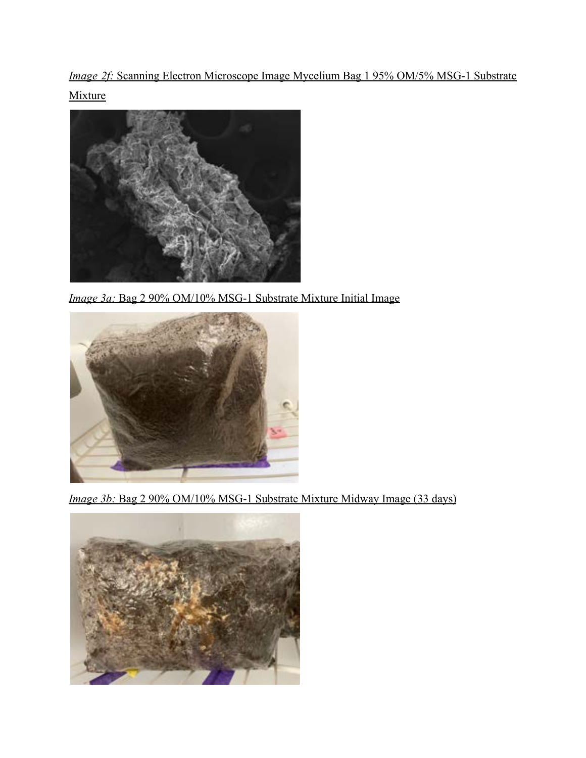*Image 2f:* Scanning Electron Microscope Image Mycelium Bag 1 95% OM/5% MSG-1 Substrate





*Image 3a:* Bag 2 90% OM/10% MSG-1 Substrate Mixture Initial Image



*Image 3b:* Bag 2 90% OM/10% MSG-1 Substrate Mixture Midway Image (33 days)

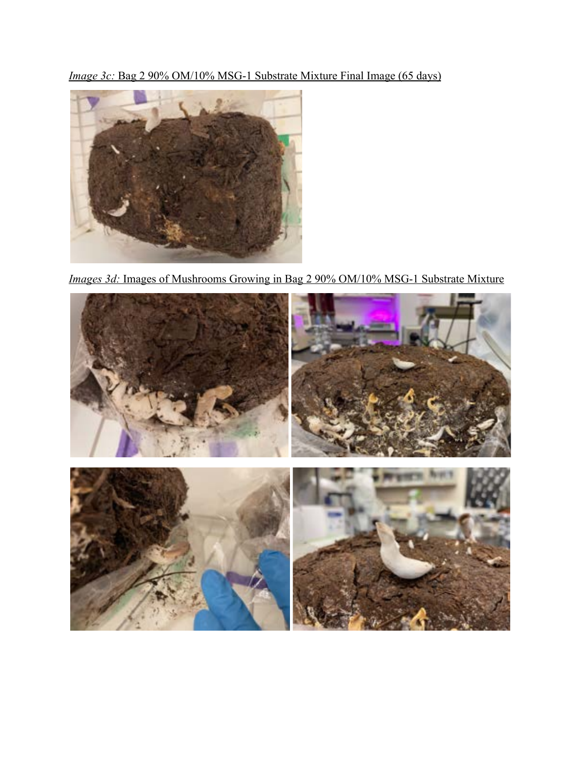*Image 3c:* Bag 2 90% OM/10% MSG-1 Substrate Mixture Final Image (65 days)



*Images 3d:* Images of Mushrooms Growing in Bag 2 90% OM/10% MSG-1 Substrate Mixture

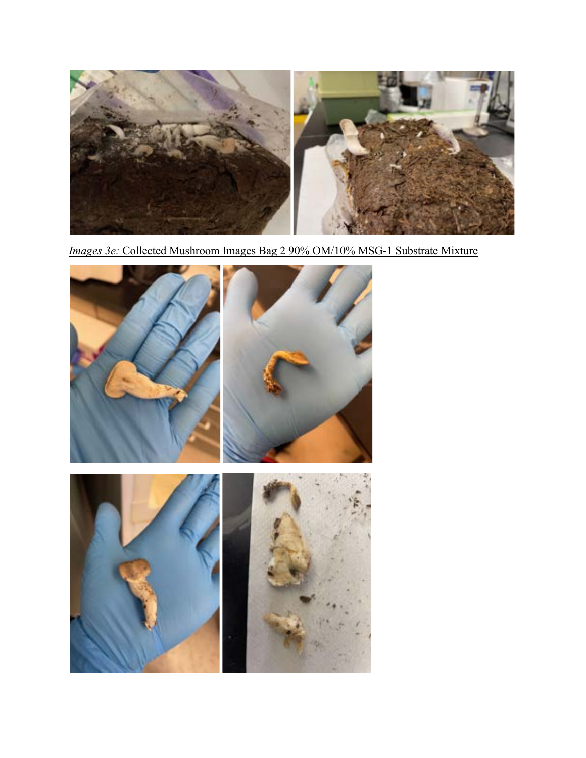

*Images 3e:* Collected Mushroom Images Bag 2 90% OM/10% MSG-1 Substrate Mixture

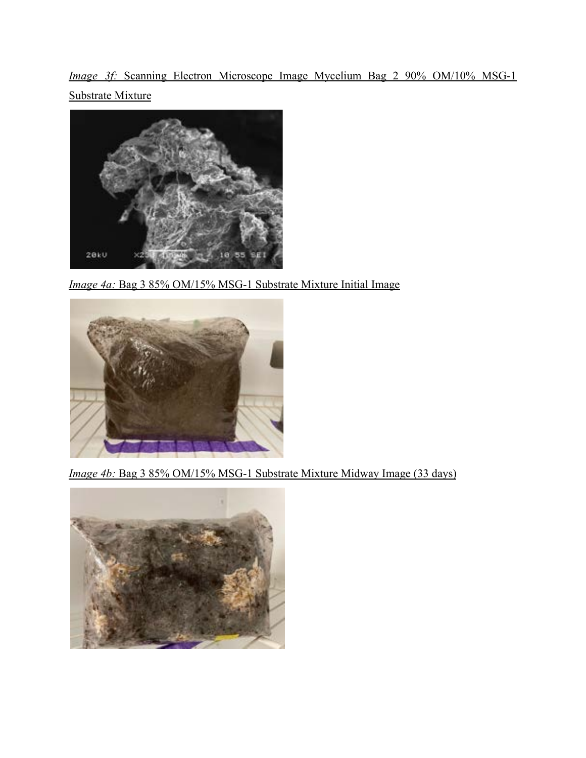*Image 3f:* Scanning Electron Microscope Image Mycelium Bag 2 90% OM/10% MSG-1 Substrate Mixture



*Image 4a:* Bag 3 85% OM/15% MSG-1 Substrate Mixture Initial Image



*Image 4b:* Bag 3 85% OM/15% MSG-1 Substrate Mixture Midway Image (33 days)

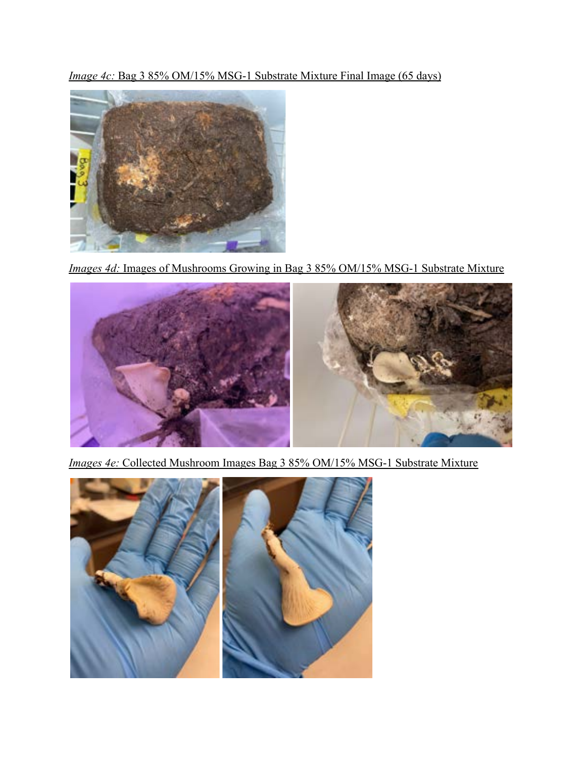*Image 4c:* Bag 3 85% OM/15% MSG-1 Substrate Mixture Final Image (65 days)



*Images 4d:* Images of Mushrooms Growing in Bag 3 85% OM/15% MSG-1 Substrate Mixture



*Images 4e:* Collected Mushroom Images Bag 3 85% OM/15% MSG-1 Substrate Mixture

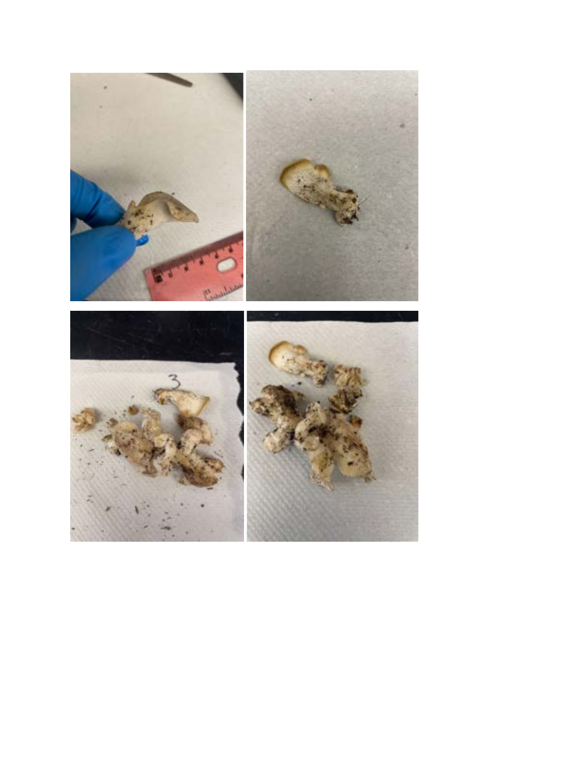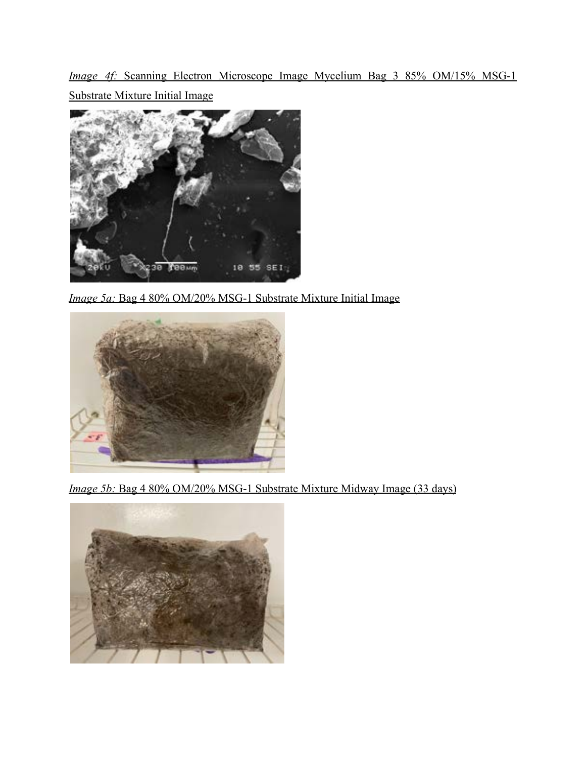*Image 4f:* Scanning Electron Microscope Image Mycelium Bag 3 85% OM/15% MSG-1 Substrate Mixture Initial Image



*Image 5a:* Bag 4 80% OM/20% MSG-1 Substrate Mixture Initial Image



*Image 5b:* Bag 4 80% OM/20% MSG-1 Substrate Mixture Midway Image (33 days)

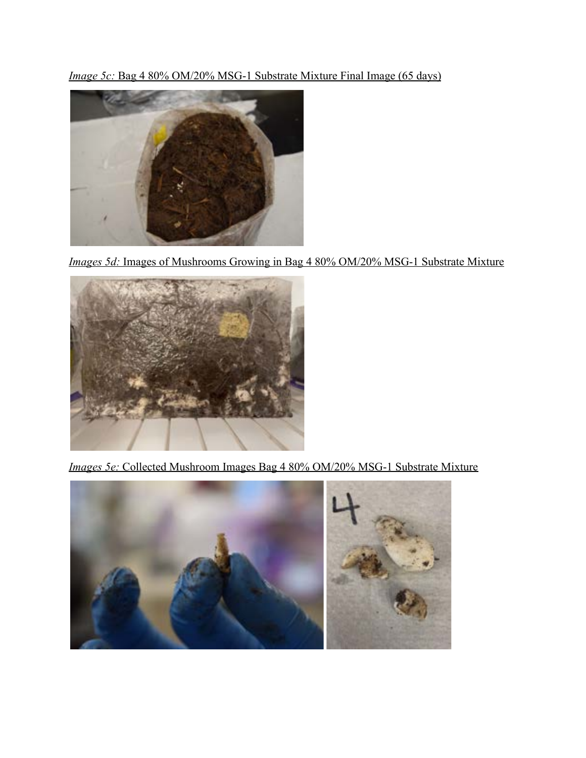*Image 5c:* Bag 4 80% OM/20% MSG-1 Substrate Mixture Final Image (65 days)



*Images 5d:* Images of Mushrooms Growing in Bag 4 80% OM/20% MSG-1 Substrate Mixture



*Images 5e:* Collected Mushroom Images Bag 4 80% OM/20% MSG-1 Substrate Mixture

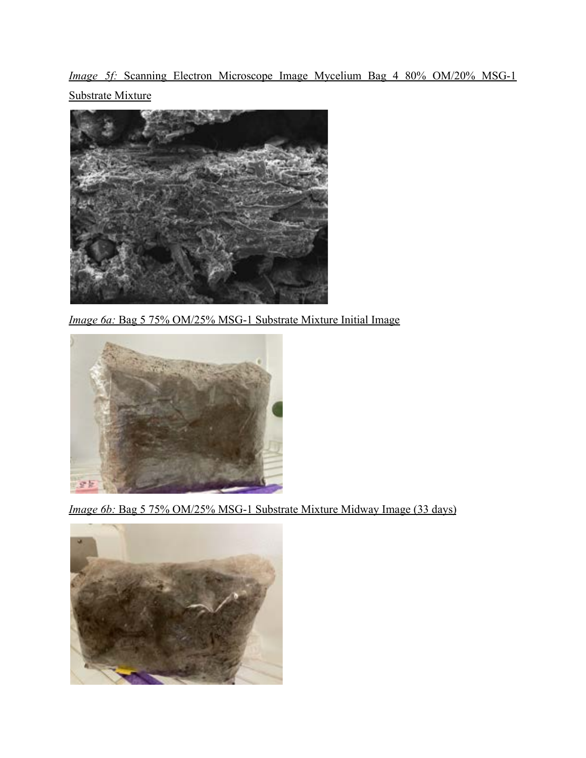*Image 5f:* Scanning Electron Microscope Image Mycelium Bag 4 80% OM/20% MSG-1 Substrate Mixture



*Image 6a:* Bag 5 75% OM/25% MSG-1 Substrate Mixture Initial Image



*Image 6b:* Bag 5 75% OM/25% MSG-1 Substrate Mixture Midway Image (33 days)

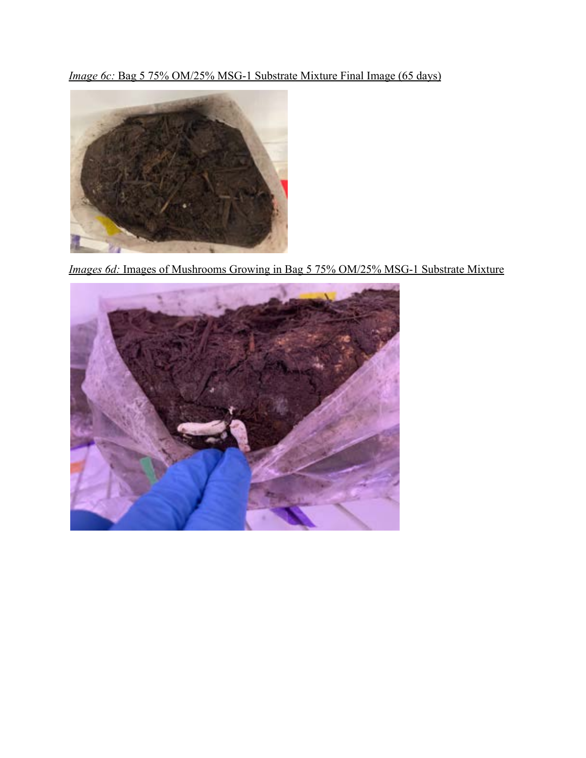*Image 6c:* Bag 5 75% OM/25% MSG-1 Substrate Mixture Final Image (65 days)



*Images 6d:* Images of Mushrooms Growing in Bag 5 75% OM/25% MSG-1 Substrate Mixture

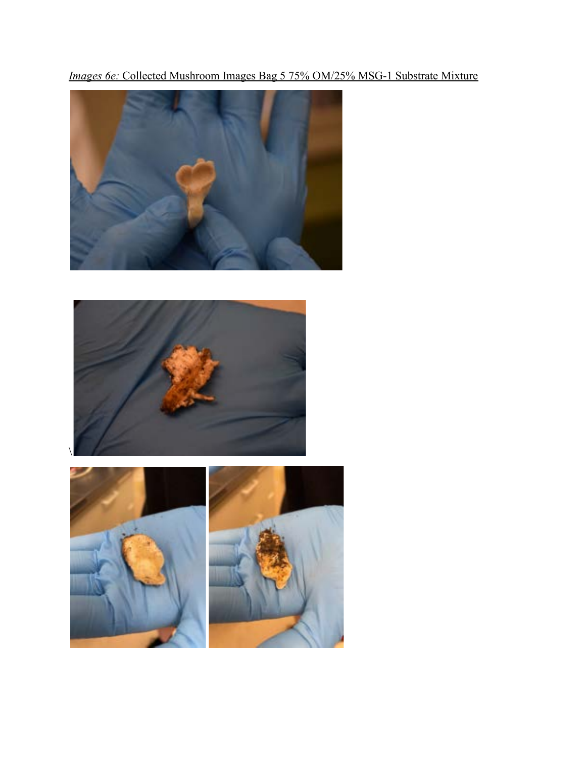*Images 6e:* Collected Mushroom Images Bag 5 75% OM/25% MSG-1 Substrate Mixture







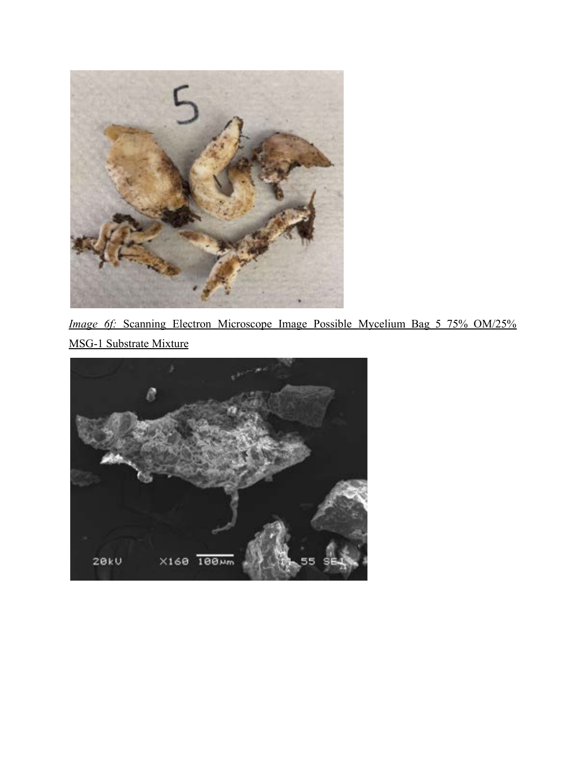

*Image 6f:* Scanning Electron Microscope Image Possible Mycelium Bag 5 75% OM/25% MSG-1 Substrate Mixture

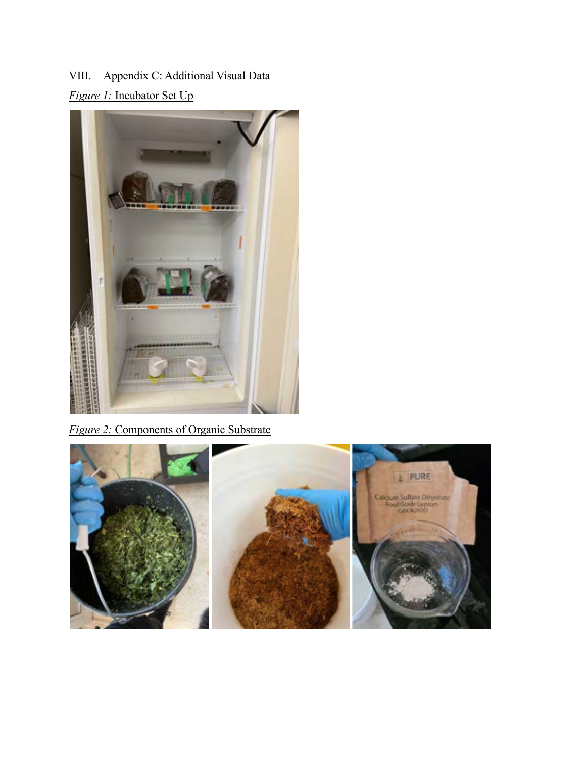VIII. Appendix C: Additional Visual Data *Figure 1:* Incubator Set Up



*Figure 2:* Components of Organic Substrate

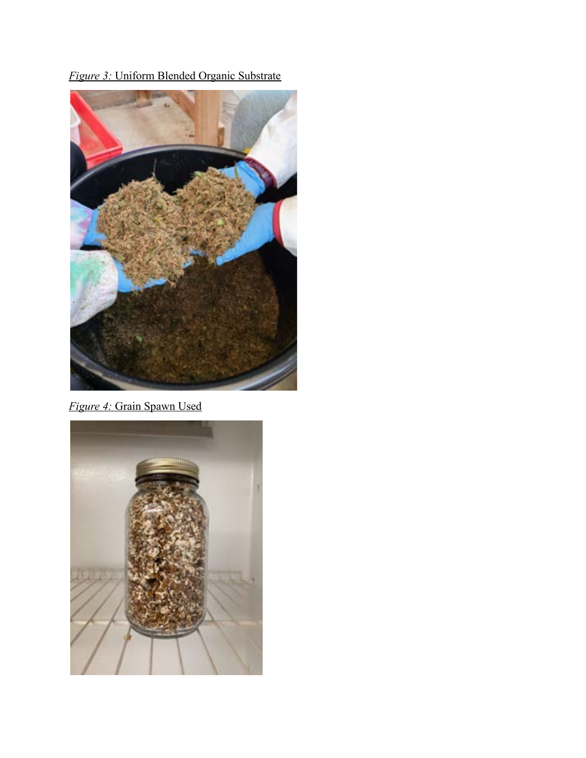

*Figure 3:* Uniform Blended Organic Substrate

*Figure 4:* Grain Spawn Used

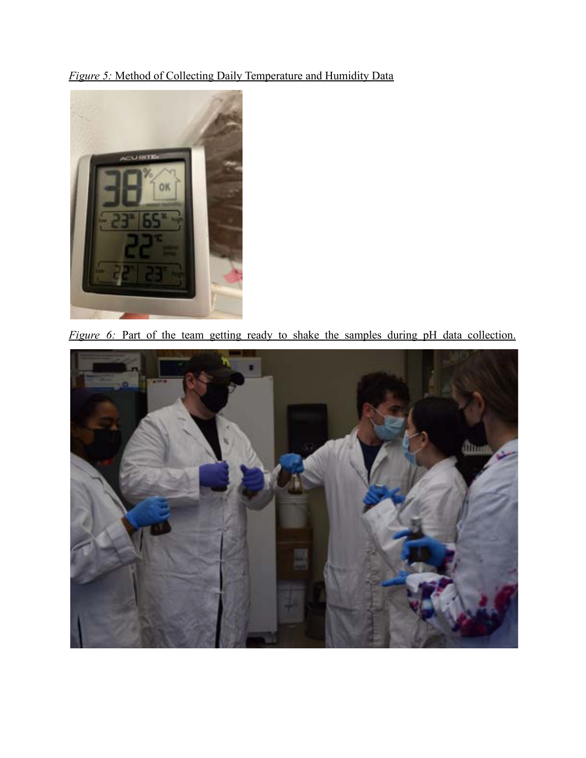*Figure 5:* Method of Collecting Daily Temperature and Humidity Data



*Figure 6:* Part of the team getting ready to shake the samples during pH data collection.

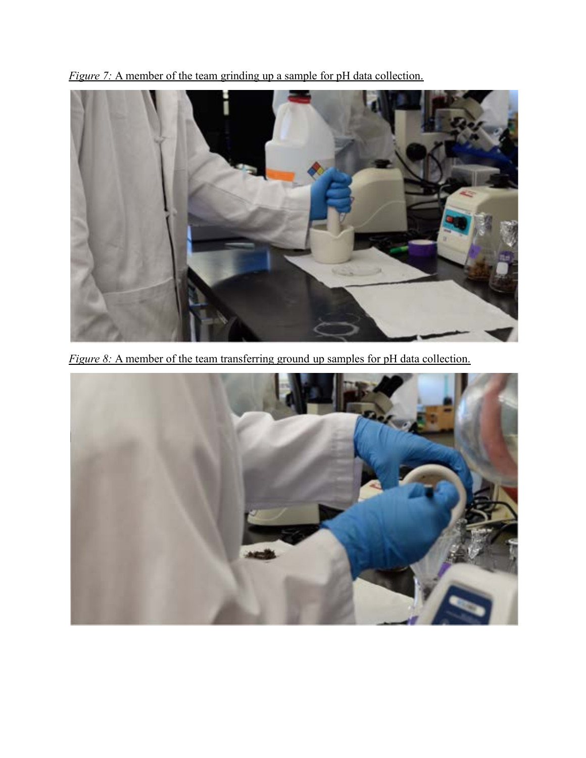*Figure 7:* A member of the team grinding up a sample for pH data collection.



*Figure 8:* A member of the team transferring ground up samples for pH data collection.

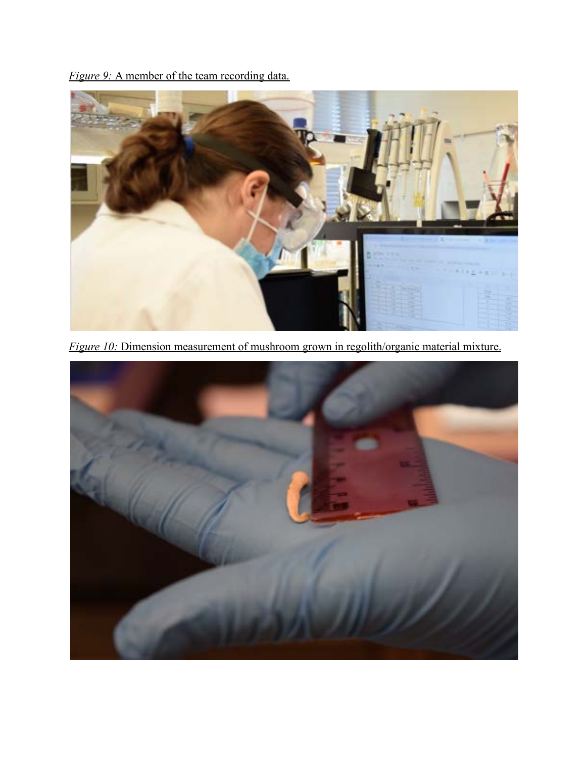*Figure 9:* A member of the team recording data.



*Figure 10:* Dimension measurement of mushroom grown in regolith/organic material mixture.

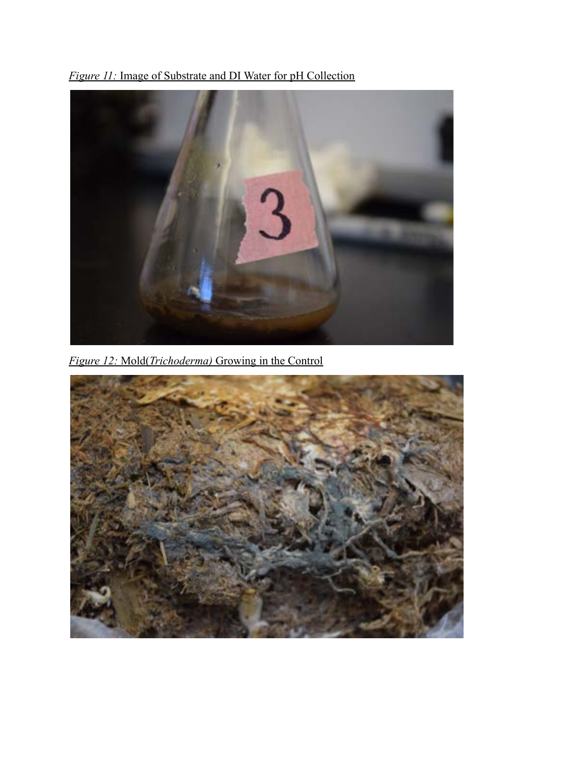*Figure 11:* Image of Substrate and DI Water for pH Collection



*Figure 12:* Mold(*Trichoderma)* Growing in the Control